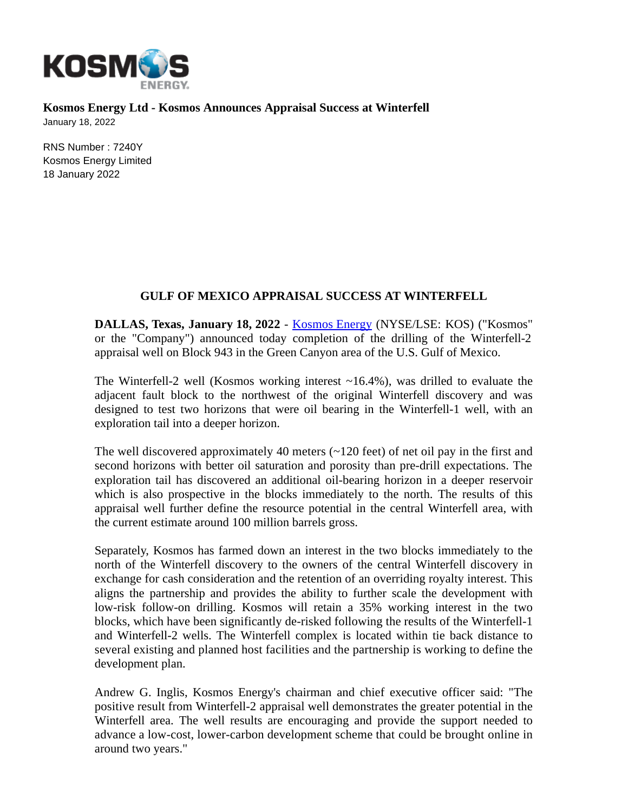

**Kosmos Energy Ltd - Kosmos Announces Appraisal Success at Winterfell** January 18, 2022

RNS Number : 7240Y Kosmos Energy Limited 18 January 2022

## **GULF OF MEXICO APPRAISAL SUCCESS AT WINTERFELL**

**DALLAS, Texas, January 18, 2022** - [Kosmos Energy](http://www.kosmosenergy.com/) (NYSE/LSE: KOS) ("Kosmos" or the "Company") announced today completion of the drilling of the Winterfell-2 appraisal well on Block 943 in the Green Canyon area of the U.S. Gulf of Mexico.

The Winterfell-2 well (Kosmos working interest  $\sim$ 16.4%), was drilled to evaluate the adjacent fault block to the northwest of the original Winterfell discovery and was designed to test two horizons that were oil bearing in the Winterfell-1 well, with an exploration tail into a deeper horizon.

The well discovered approximately 40 meters (~120 feet) of net oil pay in the first and second horizons with better oil saturation and porosity than pre-drill expectations. The exploration tail has discovered an additional oil-bearing horizon in a deeper reservoir which is also prospective in the blocks immediately to the north. The results of this appraisal well further define the resource potential in the central Winterfell area, with the current estimate around 100 million barrels gross.

Separately, Kosmos has farmed down an interest in the two blocks immediately to the north of the Winterfell discovery to the owners of the central Winterfell discovery in exchange for cash consideration and the retention of an overriding royalty interest. This aligns the partnership and provides the ability to further scale the development with low-risk follow-on drilling. Kosmos will retain a 35% working interest in the two blocks, which have been significantly de-risked following the results of the Winterfell-1 and Winterfell-2 wells. The Winterfell complex is located within tie back distance to several existing and planned host facilities and the partnership is working to define the development plan.

Andrew G. Inglis, Kosmos Energy's chairman and chief executive officer said: "The positive result from Winterfell-2 appraisal well demonstrates the greater potential in the Winterfell area. The well results are encouraging and provide the support needed to advance a low-cost, lower-carbon development scheme that could be brought online in around two years."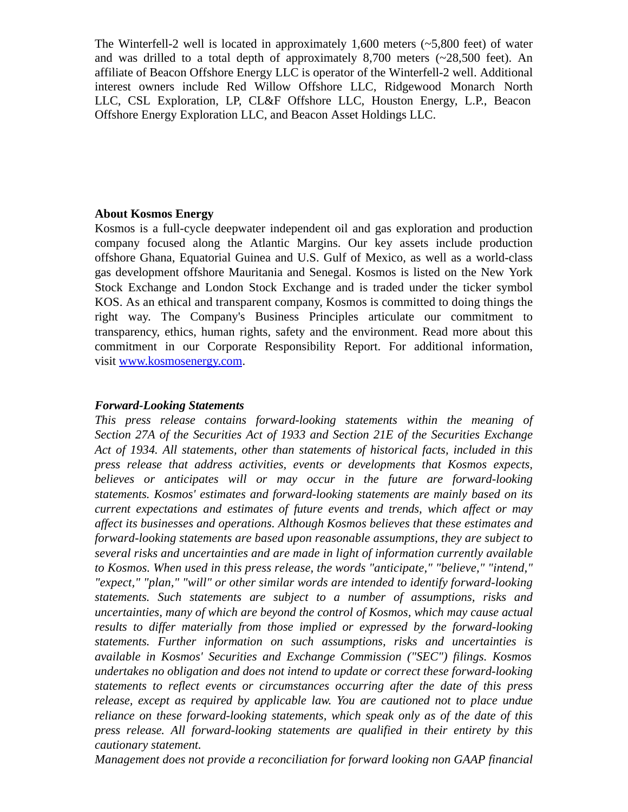The Winterfell-2 well is located in approximately 1,600 meters (~5,800 feet) of water and was drilled to a total depth of approximately 8,700 meters (~28,500 feet). An affiliate of Beacon Offshore Energy LLC is operator of the Winterfell-2 well. Additional interest owners include Red Willow Offshore LLC, Ridgewood Monarch North LLC, CSL Exploration, LP, CL&F Offshore LLC, Houston Energy, L.P., Beacon Offshore Energy Exploration LLC, and Beacon Asset Holdings LLC.

## **About Kosmos Energy**

Kosmos is a full-cycle deepwater independent oil and gas exploration and production company focused along the Atlantic Margins. Our key assets include production offshore Ghana, Equatorial Guinea and U.S. Gulf of Mexico, as well as a world-class gas development offshore Mauritania and Senegal. Kosmos is listed on the New York Stock Exchange and London Stock Exchange and is traded under the ticker symbol KOS. As an ethical and transparent company, Kosmos is committed to doing things the right way. The Company's Business Principles articulate our commitment to transparency, ethics, human rights, safety and the environment. Read more about this commitment in our Corporate Responsibility Report. For additional information, visit [www.kosmosenergy.com.](https://cts.businesswire.com/ct/CT?id=smartlink&url=http%3A%2F%2Fwww.kosmosenergy.com&esheet=52122168&newsitemid=20191103005040&lan=en-US&anchor=www.kosmosenergy.com&index=2&md5=2a5f6a50bbb6fbc7e7ea23825f104710)

## *Forward-Looking Statements*

*This press release contains forward-looking statements within the meaning of Section 27A of the Securities Act of 1933 and Section 21E of the Securities Exchange Act of 1934. All statements, other than statements of historical facts, included in this press release that address activities, events or developments that Kosmos expects, believes or anticipates will or may occur in the future are forward-looking statements. Kosmos' estimates and forward-looking statements are mainly based on its current expectations and estimates of future events and trends, which affect or may affect its businesses and operations. Although Kosmos believes that these estimates and forward-looking statements are based upon reasonable assumptions, they are subject to several risks and uncertainties and are made in light of information currently available to Kosmos. When used in this press release, the words "anticipate," "believe," "intend," "expect," "plan," "will" or other similar words are intended to identify forward-looking statements. Such statements are subject to a number of assumptions, risks and uncertainties, many of which are beyond the control of Kosmos, which may cause actual results to differ materially from those implied or expressed by the forward-looking statements. Further information on such assumptions, risks and uncertainties is available in Kosmos' Securities and Exchange Commission ("SEC") filings. Kosmos undertakes no obligation and does not intend to update or correct these forward-looking statements to reflect events or circumstances occurring after the date of this press release, except as required by applicable law. You are cautioned not to place undue reliance on these forward-looking statements, which speak only as of the date of this press release. All forward-looking statements are qualified in their entirety by this cautionary statement.*

*Management does not provide a reconciliation for forward looking non GAAP financial*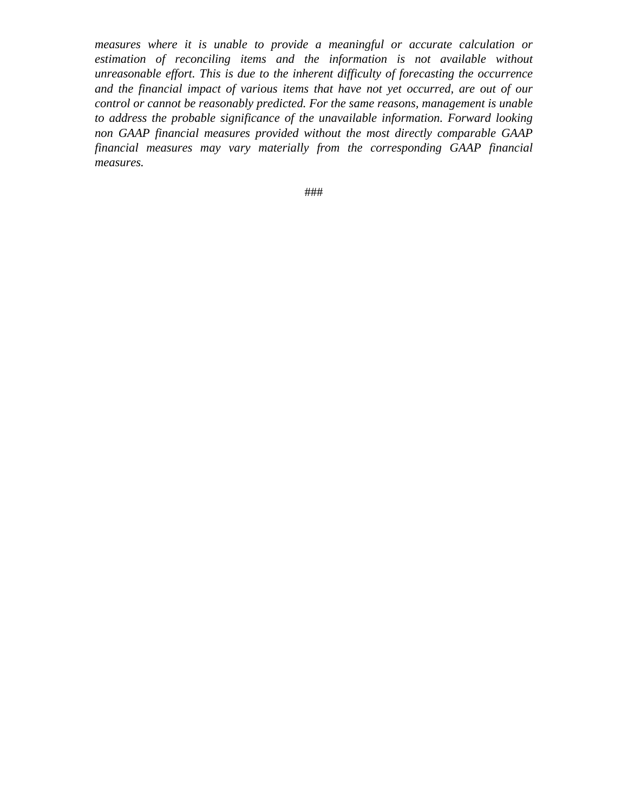*measures where it is unable to provide a meaningful or accurate calculation or estimation of reconciling items and the information is not available without unreasonable effort. This is due to the inherent difficulty of forecasting the occurrence and the financial impact of various items that have not yet occurred, are out of our control or cannot be reasonably predicted. For the same reasons, management is unable to address the probable significance of the unavailable information. Forward looking non GAAP financial measures provided without the most directly comparable GAAP financial measures may vary materially from the corresponding GAAP financial measures.*

###